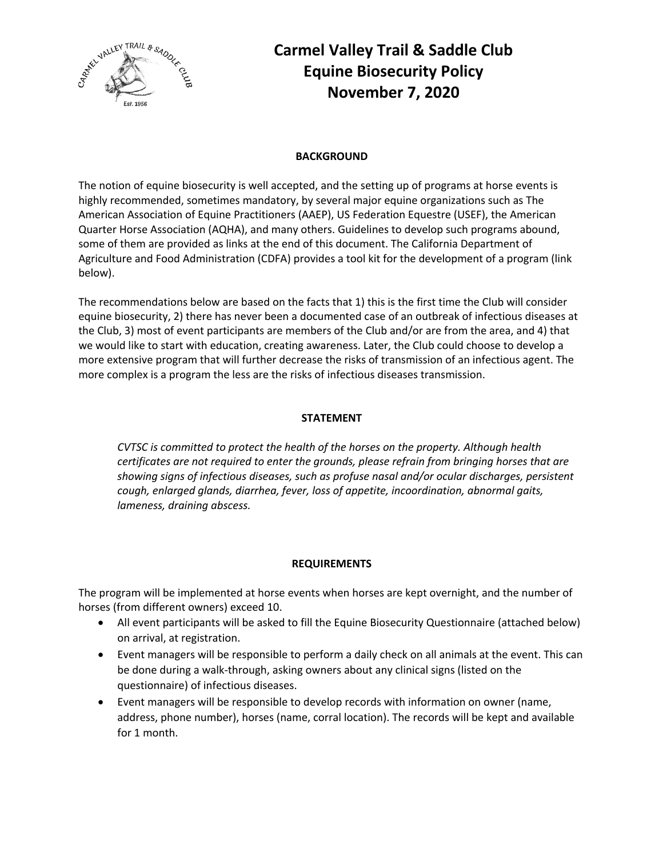

# **Carmel Valley Trail & Saddle Club Equine Biosecurity Policy November 7, 2020**

#### **BACKGROUND**

The notion of equine biosecurity is well accepted, and the setting up of programs at horse events is highly recommended, sometimes mandatory, by several major equine organizations such as The American Association of Equine Practitioners (AAEP), US Federation Equestre (USEF), the American Quarter Horse Association (AQHA), and many others. Guidelines to develop such programs abound, some of them are provided as links at the end of this document. The California Department of Agriculture and Food Administration (CDFA) provides a tool kit for the development of a program (link below).

The recommendations below are based on the facts that 1) this is the first time the Club will consider equine biosecurity, 2) there has never been a documented case of an outbreak of infectious diseases at the Club, 3) most of event participants are members of the Club and/or are from the area, and 4) that we would like to start with education, creating awareness. Later, the Club could choose to develop a more extensive program that will further decrease the risks of transmission of an infectious agent. The more complex is a program the less are the risks of infectious diseases transmission.

#### **STATEMENT**

*CVTSC is committed to protect the health of the horses on the property. Although health certificates are not required to enter the grounds, please refrain from bringing horses that are showing signs of infectious diseases, such as profuse nasal and/or ocular discharges, persistent cough, enlarged glands, diarrhea, fever, loss of appetite, incoordination, abnormal gaits, lameness, draining abscess.*

#### **REQUIREMENTS**

The program will be implemented at horse events when horses are kept overnight, and the number of horses (from different owners) exceed 10.

- All event participants will be asked to fill the Equine Biosecurity Questionnaire (attached below) on arrival, at registration.
- Event managers will be responsible to perform a daily check on all animals at the event. This can be done during a walk-through, asking owners about any clinical signs (listed on the questionnaire) of infectious diseases.
- Event managers will be responsible to develop records with information on owner (name, address, phone number), horses (name, corral location). The records will be kept and available for 1 month.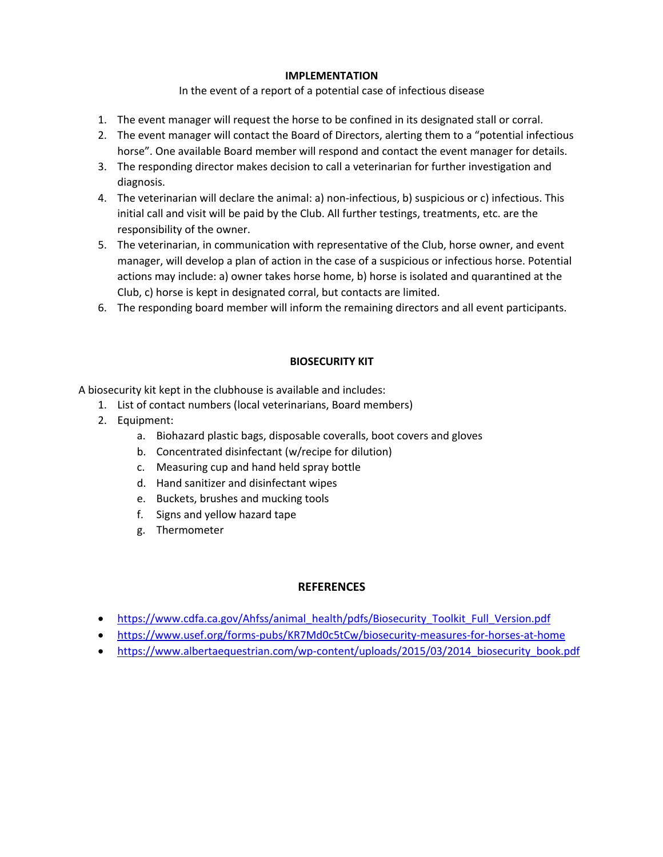#### **IMPLEMENTATION**

In the event of a report of a potential case of infectious disease

- 1. The event manager will request the horse to be confined in its designated stall or corral.
- 2. The event manager will contact the Board of Directors, alerting them to a "potential infectious horse". One available Board member will respond and contact the event manager for details.
- 3. The responding director makes decision to call a veterinarian for further investigation and diagnosis.
- 4. The veterinarian will declare the animal: a) non-infectious, b) suspicious or c) infectious. This initial call and visit will be paid by the Club. All further testings, treatments, etc. are the responsibility of the owner.
- 5. The veterinarian, in communication with representative of the Club, horse owner, and event manager, will develop a plan of action in the case of a suspicious or infectious horse. Potential actions may include: a) owner takes horse home, b) horse is isolated and quarantined at the Club, c) horse is kept in designated corral, but contacts are limited.
- 6. The responding board member will inform the remaining directors and all event participants.

#### **BIOSECURITY KIT**

A biosecurity kit kept in the clubhouse is available and includes:

- 1. List of contact numbers (local veterinarians, Board members)
- 2. Equipment:
	- a. Biohazard plastic bags, disposable coveralls, boot covers and gloves
	- b. Concentrated disinfectant (w/recipe for dilution)
	- c. Measuring cup and hand held spray bottle
	- d. Hand sanitizer and disinfectant wipes
	- e. Buckets, brushes and mucking tools
	- f. Signs and yellow hazard tape
	- g. Thermometer

### **REFERENCES**

- https://www.cdfa.ca.gov/Ahfss/animal\_health/pdfs/Biosecurity\_Toolkit\_Full\_Version.pdf
- https://www.usef.org/forms-pubs/KR7Md0c5tCw/biosecurity-measures-for-horses-at-home
- https://www.albertaequestrian.com/wp-content/uploads/2015/03/2014\_biosecurity\_book.pdf